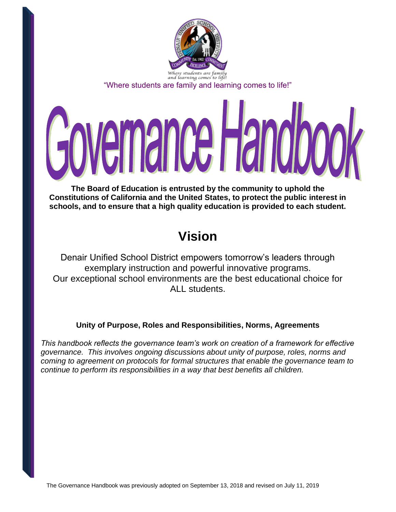

"Where students are family and learning comes to life!"

# emance Hand

**The Board of Education is entrusted by the community to uphold the Constitutions of California and the United States, to protect the public interest in schools, and to ensure that a high quality education is provided to each student.**

# **Vision**

Denair Unified School District empowers tomorrow's leaders through exemplary instruction and powerful innovative programs. Our exceptional school environments are the best educational choice for ALL students.

# **Unity of Purpose, Roles and Responsibilities, Norms, Agreements**

*This handbook reflects the governance team's work on creation of a framework for effective governance. This involves ongoing discussions about unity of purpose, roles, norms and coming to agreement on protocols for formal structures that enable the governance team to continue to perform its responsibilities in a way that best benefits all children.*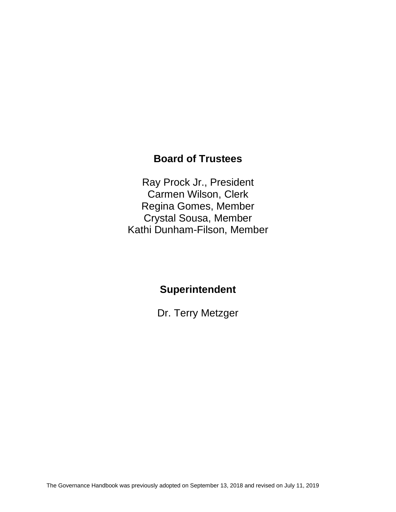# **Board of Trustees**

Ray Prock Jr., President Carmen Wilson, Clerk Regina Gomes, Member Crystal Sousa, Member Kathi Dunham-Filson, Member

# **Superintendent**

Dr. Terry Metzger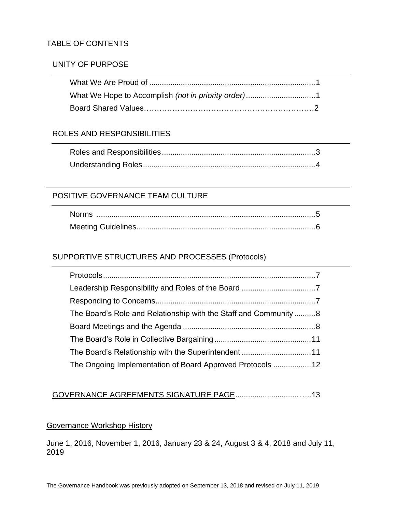#### TABLE OF CONTENTS

#### UNITY OF PURPOSE

#### ROLES AND RESPONSIBILITIES

#### POSITIVE GOVERNANCE TEAM CULTURE

#### SUPPORTIVE STRUCTURES AND PROCESSES (Protocols)

| The Board's Role and Relationship with the Staff and Community8 |  |
|-----------------------------------------------------------------|--|
|                                                                 |  |
|                                                                 |  |
| The Board's Relationship with the Superintendent 11             |  |
|                                                                 |  |

#### GOVERNANCE AGREEMENTS SIGNATURE PAGE..............................…..13

#### Governance Workshop History

June 1, 2016, November 1, 2016, January 23 & 24, August 3 & 4, 2018 and July 11, 2019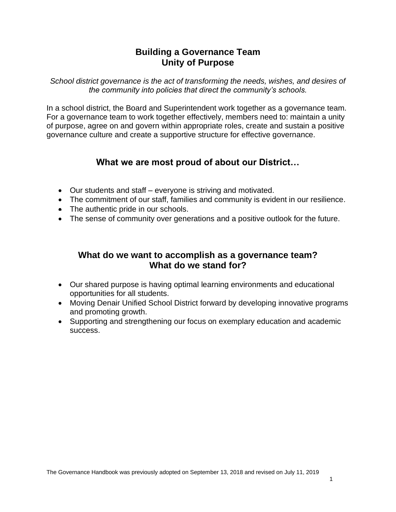#### **Building a Governance Team Unity of Purpose**

*School district governance is the act of transforming the needs, wishes, and desires of the community into policies that direct the community's schools.* 

In a school district, the Board and Superintendent work together as a governance team. For a governance team to work together effectively, members need to: maintain a unity of purpose, agree on and govern within appropriate roles, create and sustain a positive governance culture and create a supportive structure for effective governance.

# **What we are most proud of about our District…**

- Our students and staff everyone is striving and motivated.
- The commitment of our staff, families and community is evident in our resilience.
- The authentic pride in our schools.
- The sense of community over generations and a positive outlook for the future.

#### **What do we want to accomplish as a governance team? What do we stand for?**

- Our shared purpose is having optimal learning environments and educational opportunities for all students.
- Moving Denair Unified School District forward by developing innovative programs and promoting growth.
- Supporting and strengthening our focus on exemplary education and academic success.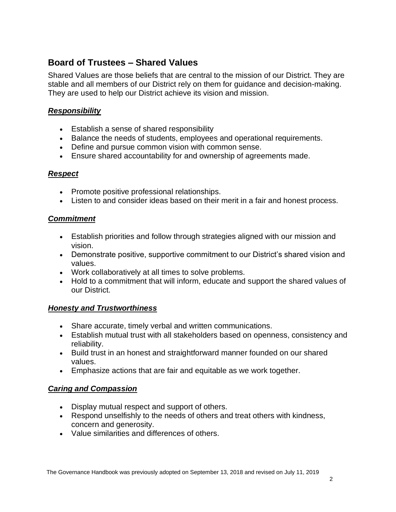# **Board of Trustees – Shared Values**

Shared Values are those beliefs that are central to the mission of our District. They are stable and all members of our District rely on them for guidance and decision-making. They are used to help our District achieve its vision and mission.

#### *Responsibility*

- Establish a sense of shared responsibility
- Balance the needs of students, employees and operational requirements.
- Define and pursue common vision with common sense.
- Ensure shared accountability for and ownership of agreements made.

#### *Respect*

- Promote positive professional relationships.
- Listen to and consider ideas based on their merit in a fair and honest process.

#### *Commitment*

- Establish priorities and follow through strategies aligned with our mission and vision.
- Demonstrate positive, supportive commitment to our District's shared vision and values.
- Work collaboratively at all times to solve problems.
- Hold to a commitment that will inform, educate and support the shared values of our District.

#### *Honesty and Trustworthiness*

- Share accurate, timely verbal and written communications.
- Establish mutual trust with all stakeholders based on openness, consistency and reliability.
- Build trust in an honest and straightforward manner founded on our shared values.
- Emphasize actions that are fair and equitable as we work together.

#### *Caring and Compassion*

- Display mutual respect and support of others.
- Respond unselfishly to the needs of others and treat others with kindness, concern and generosity.
- Value similarities and differences of others.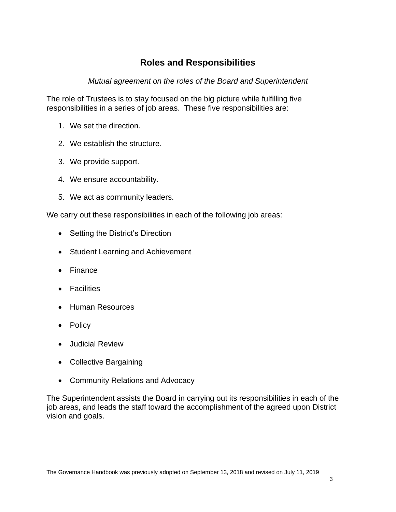# **Roles and Responsibilities**

*Mutual agreement on the roles of the Board and Superintendent*

The role of Trustees is to stay focused on the big picture while fulfilling five responsibilities in a series of job areas. These five responsibilities are:

- 1. We set the direction.
- 2. We establish the structure.
- 3. We provide support.
- 4. We ensure accountability.
- 5. We act as community leaders.

We carry out these responsibilities in each of the following job areas:

- Setting the District's Direction
- Student Learning and Achievement
- Finance
- Facilities
- Human Resources
- Policy
- Judicial Review
- Collective Bargaining
- Community Relations and Advocacy

The Superintendent assists the Board in carrying out its responsibilities in each of the job areas, and leads the staff toward the accomplishment of the agreed upon District vision and goals.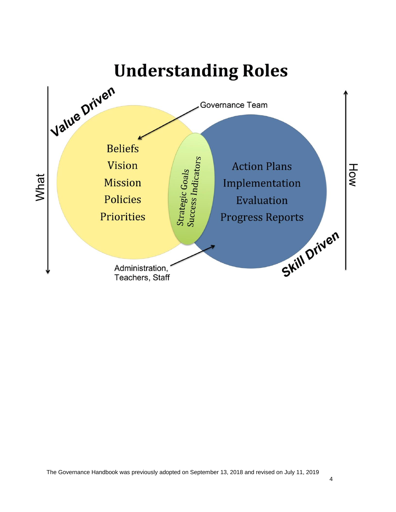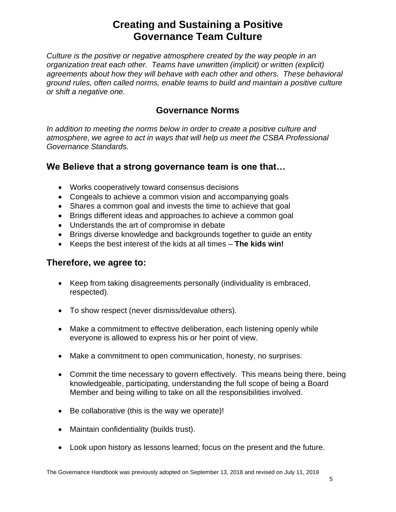# **Creating and Sustaining a Positive Governance Team Culture**

*Culture is the positive or negative atmosphere created by the way people in an organization treat each other. Teams have unwritten (implicit) or written (explicit) agreements about how they will behave with each other and others. These behavioral ground rules, often called norms, enable teams to build and maintain a positive culture or shift a negative one.*

#### **Governance Norms**

*In addition to meeting the norms below in order to create a positive culture and atmosphere, we agree to act in ways that will help us meet the CSBA Professional Governance Standards.*

# **We Believe that a strong governance team is one that…**

- Works cooperatively toward consensus decisions
- Congeals to achieve a common vision and accompanying goals
- Shares a common goal and invests the time to achieve that goal
- Brings different ideas and approaches to achieve a common goal
- Understands the art of compromise in debate
- Brings diverse knowledge and backgrounds together to guide an entity
- Keeps the best interest of the kids at all times **The kids win!**

#### **Therefore, we agree to:**

- Keep from taking disagreements personally (individuality is embraced, respected).
- To show respect (never dismiss/devalue others).
- Make a commitment to effective deliberation, each listening openly while everyone is allowed to express his or her point of view.
- Make a commitment to open communication, honesty, no surprises.
- Commit the time necessary to govern effectively. This means being there, being knowledgeable, participating, understanding the full scope of being a Board Member and being willing to take on all the responsibilities involved.
- Be collaborative (this is the way we operate)!
- Maintain confidentiality (builds trust).
- Look upon history as lessons learned; focus on the present and the future.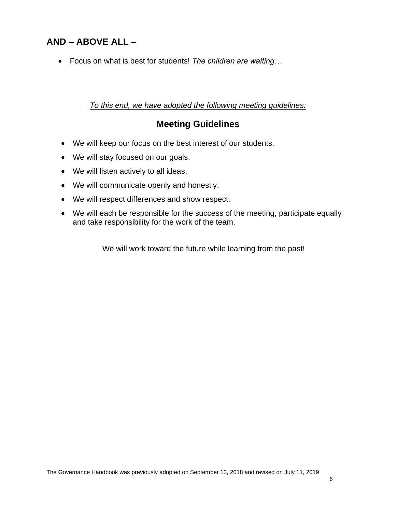# **AND – ABOVE ALL –**

• Focus on what is best for students! *The children are waiting…*

#### *To this end, we have adopted the following meeting guidelines:*

#### **Meeting Guidelines**

- We will keep our focus on the best interest of our students.
- We will stay focused on our goals.
- We will listen actively to all ideas.
- We will communicate openly and honestly.
- We will respect differences and show respect.
- We will each be responsible for the success of the meeting, participate equally and take responsibility for the work of the team.

We will work toward the future while learning from the past!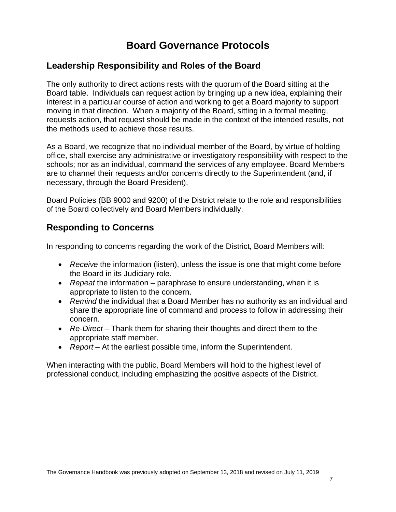# **Board Governance Protocols**

#### **Leadership Responsibility and Roles of the Board**

The only authority to direct actions rests with the quorum of the Board sitting at the Board table. Individuals can request action by bringing up a new idea, explaining their interest in a particular course of action and working to get a Board majority to support moving in that direction. When a majority of the Board, sitting in a formal meeting, requests action, that request should be made in the context of the intended results, not the methods used to achieve those results.

As a Board, we recognize that no individual member of the Board, by virtue of holding office, shall exercise any administrative or investigatory responsibility with respect to the schools; nor as an individual, command the services of any employee. Board Members are to channel their requests and/or concerns directly to the Superintendent (and, if necessary, through the Board President).

Board Policies (BB 9000 and 9200) of the District relate to the role and responsibilities of the Board collectively and Board Members individually.

#### **Responding to Concerns**

In responding to concerns regarding the work of the District, Board Members will:

- *Receive* the information (listen), unless the issue is one that might come before the Board in its Judiciary role.
- *Repeat* the information paraphrase to ensure understanding, when it is appropriate to listen to the concern.
- *Remind* the individual that a Board Member has no authority as an individual and share the appropriate line of command and process to follow in addressing their concern.
- *Re-Direct* Thank them for sharing their thoughts and direct them to the appropriate staff member.
- *Report* At the earliest possible time, inform the Superintendent.

When interacting with the public, Board Members will hold to the highest level of professional conduct, including emphasizing the positive aspects of the District.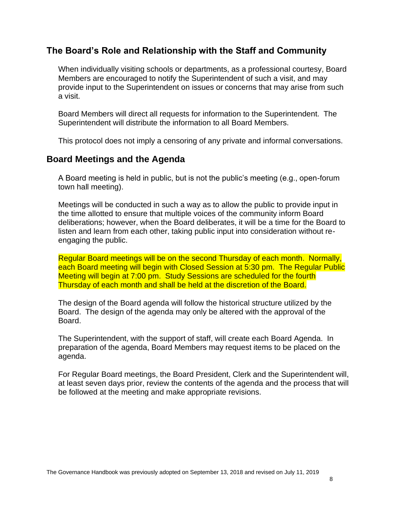#### **The Board's Role and Relationship with the Staff and Community**

When individually visiting schools or departments, as a professional courtesy, Board Members are encouraged to notify the Superintendent of such a visit, and may provide input to the Superintendent on issues or concerns that may arise from such a visit.

Board Members will direct all requests for information to the Superintendent. The Superintendent will distribute the information to all Board Members.

This protocol does not imply a censoring of any private and informal conversations.

#### **Board Meetings and the Agenda**

A Board meeting is held in public, but is not the public's meeting (e.g., open-forum town hall meeting).

Meetings will be conducted in such a way as to allow the public to provide input in the time allotted to ensure that multiple voices of the community inform Board deliberations; however, when the Board deliberates, it will be a time for the Board to listen and learn from each other, taking public input into consideration without reengaging the public.

Regular Board meetings will be on the second Thursday of each month. Normally, each Board meeting will begin with Closed Session at 5:30 pm. The Regular Public Meeting will begin at 7:00 pm. Study Sessions are scheduled for the fourth Thursday of each month and shall be held at the discretion of the Board.

The design of the Board agenda will follow the historical structure utilized by the Board. The design of the agenda may only be altered with the approval of the Board.

The Superintendent, with the support of staff, will create each Board Agenda. In preparation of the agenda, Board Members may request items to be placed on the agenda.

For Regular Board meetings, the Board President, Clerk and the Superintendent will, at least seven days prior, review the contents of the agenda and the process that will be followed at the meeting and make appropriate revisions.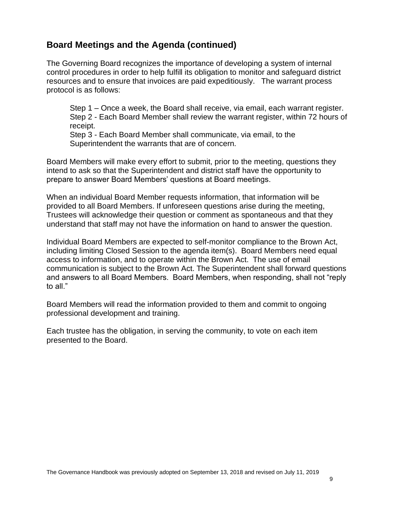# **Board Meetings and the Agenda (continued)**

The Governing Board recognizes the importance of developing a system of internal control procedures in order to help fulfill its obligation to monitor and safeguard district resources and to ensure that invoices are paid expeditiously. The warrant process protocol is as follows:

Step 1 – Once a week, the Board shall receive, via email, each warrant register. Step 2 - Each Board Member shall review the warrant register, within 72 hours of receipt.

Step 3 - Each Board Member shall communicate, via email, to the Superintendent the warrants that are of concern.

Board Members will make every effort to submit, prior to the meeting, questions they intend to ask so that the Superintendent and district staff have the opportunity to prepare to answer Board Members' questions at Board meetings.

When an individual Board Member requests information, that information will be provided to all Board Members. If unforeseen questions arise during the meeting, Trustees will acknowledge their question or comment as spontaneous and that they understand that staff may not have the information on hand to answer the question.

Individual Board Members are expected to self-monitor compliance to the Brown Act, including limiting Closed Session to the agenda item(s). Board Members need equal access to information, and to operate within the Brown Act. The use of email communication is subject to the Brown Act. The Superintendent shall forward questions and answers to all Board Members. Board Members, when responding, shall not "reply to all."

Board Members will read the information provided to them and commit to ongoing professional development and training.

Each trustee has the obligation, in serving the community, to vote on each item presented to the Board.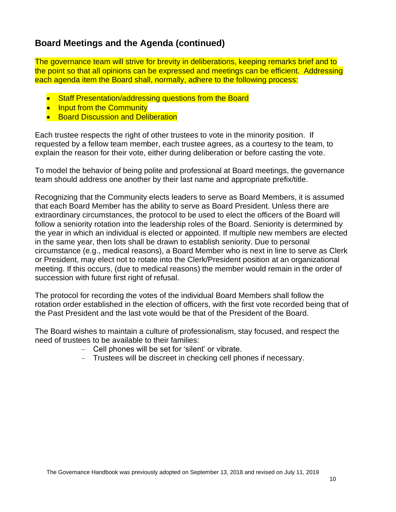# **Board Meetings and the Agenda (continued)**

The governance team will strive for brevity in deliberations, keeping remarks brief and to the point so that all opinions can be expressed and meetings can be efficient. Addressing each agenda item the Board shall, normally, adhere to the following process:

- Staff Presentation/addressing questions from the Board
- Input from the Community
- **Board Discussion and Deliberation**

Each trustee respects the right of other trustees to vote in the minority position. If requested by a fellow team member, each trustee agrees, as a courtesy to the team, to explain the reason for their vote, either during deliberation or before casting the vote.

To model the behavior of being polite and professional at Board meetings, the governance team should address one another by their last name and appropriate prefix/title.

Recognizing that the Community elects leaders to serve as Board Members, it is assumed that each Board Member has the ability to serve as Board President. Unless there are extraordinary circumstances, the protocol to be used to elect the officers of the Board will follow a seniority rotation into the leadership roles of the Board. Seniority is determined by the year in which an individual is elected or appointed. If multiple new members are elected in the same year, then lots shall be drawn to establish seniority. Due to personal circumstance (e.g., medical reasons), a Board Member who is next in line to serve as Clerk or President, may elect not to rotate into the Clerk/President position at an organizational meeting. If this occurs, (due to medical reasons) the member would remain in the order of succession with future first right of refusal.

The protocol for recording the votes of the individual Board Members shall follow the rotation order established in the election of officers, with the first vote recorded being that of the Past President and the last vote would be that of the President of the Board.

The Board wishes to maintain a culture of professionalism, stay focused, and respect the need of trustees to be available to their families:

- Cell phones will be set for 'silent' or vibrate.
- Trustees will be discreet in checking cell phones if necessary.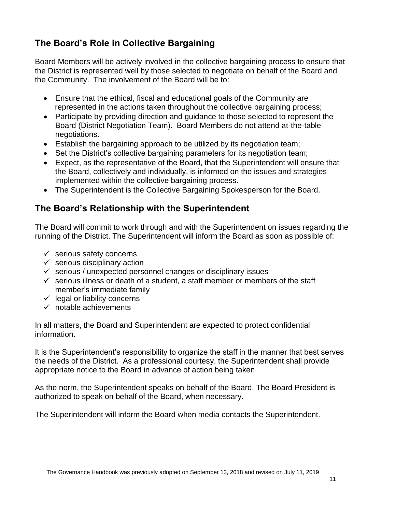# **The Board's Role in Collective Bargaining**

Board Members will be actively involved in the collective bargaining process to ensure that the District is represented well by those selected to negotiate on behalf of the Board and the Community. The involvement of the Board will be to:

- Ensure that the ethical, fiscal and educational goals of the Community are represented in the actions taken throughout the collective bargaining process;
- Participate by providing direction and guidance to those selected to represent the Board (District Negotiation Team). Board Members do not attend at-the-table negotiations.
- Establish the bargaining approach to be utilized by its negotiation team;
- Set the District's collective bargaining parameters for its negotiation team;
- Expect, as the representative of the Board, that the Superintendent will ensure that the Board, collectively and individually, is informed on the issues and strategies implemented within the collective bargaining process.
- The Superintendent is the Collective Bargaining Spokesperson for the Board.

# **The Board's Relationship with the Superintendent**

The Board will commit to work through and with the Superintendent on issues regarding the running of the District. The Superintendent will inform the Board as soon as possible of:

- $\checkmark$  serious safety concerns
- $\checkmark$  serious disciplinary action
- $\checkmark$  serious / unexpected personnel changes or disciplinary issues
- $\checkmark$  serious illness or death of a student, a staff member or members of the staff member's immediate family
- $\checkmark$  legal or liability concerns
- $\checkmark$  notable achievements

In all matters, the Board and Superintendent are expected to protect confidential information.

It is the Superintendent's responsibility to organize the staff in the manner that best serves the needs of the District. As a professional courtesy, the Superintendent shall provide appropriate notice to the Board in advance of action being taken.

As the norm, the Superintendent speaks on behalf of the Board. The Board President is authorized to speak on behalf of the Board, when necessary.

The Superintendent will inform the Board when media contacts the Superintendent.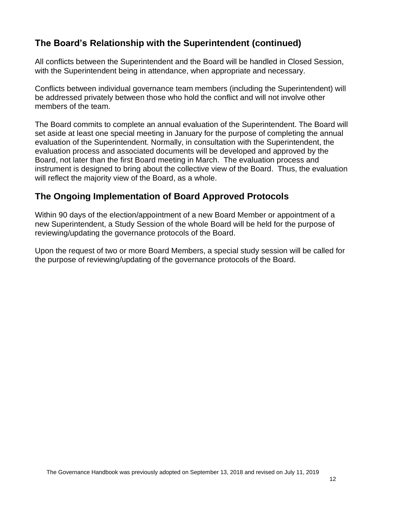# **The Board's Relationship with the Superintendent (continued)**

All conflicts between the Superintendent and the Board will be handled in Closed Session, with the Superintendent being in attendance, when appropriate and necessary.

Conflicts between individual governance team members (including the Superintendent) will be addressed privately between those who hold the conflict and will not involve other members of the team.

The Board commits to complete an annual evaluation of the Superintendent. The Board will set aside at least one special meeting in January for the purpose of completing the annual evaluation of the Superintendent. Normally, in consultation with the Superintendent, the evaluation process and associated documents will be developed and approved by the Board, not later than the first Board meeting in March. The evaluation process and instrument is designed to bring about the collective view of the Board. Thus, the evaluation will reflect the majority view of the Board, as a whole.

# **The Ongoing Implementation of Board Approved Protocols**

Within 90 days of the election/appointment of a new Board Member or appointment of a new Superintendent, a Study Session of the whole Board will be held for the purpose of reviewing/updating the governance protocols of the Board.

Upon the request of two or more Board Members, a special study session will be called for the purpose of reviewing/updating of the governance protocols of the Board.